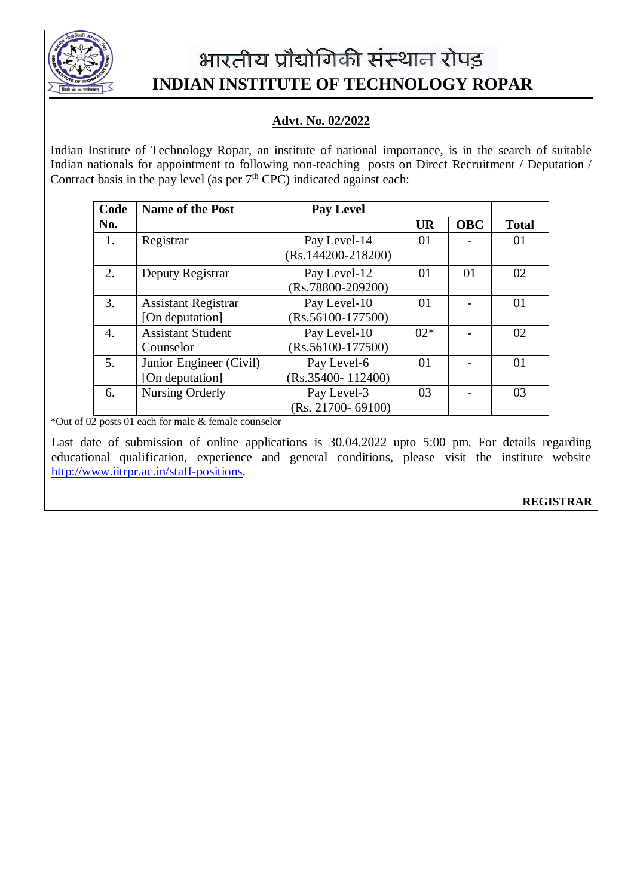

# भारतीय प्रौद्योगिकी संस्थान रोपड़  **INDIAN INSTITUTE OF TECHNOLOGY ROPAR**

## **Advt. No. 02/2022**

Indian Institute of Technology Ropar, an institute of national importance, is in the search of suitable Indian nationals for appointment to following non-teaching posts on Direct Recruitment / Deputation / Contract basis in the pay level (as per  $7<sup>th</sup>$  CPC) indicated against each:

| Code | <b>Name of the Post</b>    | <b>Pay Level</b>                     |           |            |              |
|------|----------------------------|--------------------------------------|-----------|------------|--------------|
| No.  |                            |                                      | <b>UR</b> | <b>OBC</b> | <b>Total</b> |
| 1.   | Registrar                  | Pay Level-14<br>$(Rs.144200-218200)$ | 01        |            | 01           |
| 2.   | Deputy Registrar           | Pay Level-12<br>$(Rs.78800-209200)$  | 01        | 01         | 02           |
| 3.   | <b>Assistant Registrar</b> | Pay Level-10                         | 01        |            | 01           |
|      | [On deputation]            | $(Rs.56100-177500)$                  |           |            |              |
| 4.   | <b>Assistant Student</b>   | Pay Level-10                         | $02*$     |            | 02           |
|      | Counselor                  | $(Rs.56100-177500)$                  |           |            |              |
| 5.   | Junior Engineer (Civil)    | Pay Level-6                          | 01        |            | 01           |
|      | [On deputation]            | $(Rs.35400 - 112400)$                |           |            |              |
| 6.   | Nursing Orderly            | Pay Level-3                          | 03        |            | 03           |
|      |                            | (Rs. 21700-69100)                    |           |            |              |

\*Out of 02 posts 01 each for male & female counselor

Last date of submission of online applications is 30.04.2022 upto 5:00 pm. For details regarding educational qualification, experience and general conditions, please visit the institute website [http://www.iitrpr.ac.in/staff-positions.](http://www.iitrpr.ac.in/staff-positions)

### **REGISTRAR**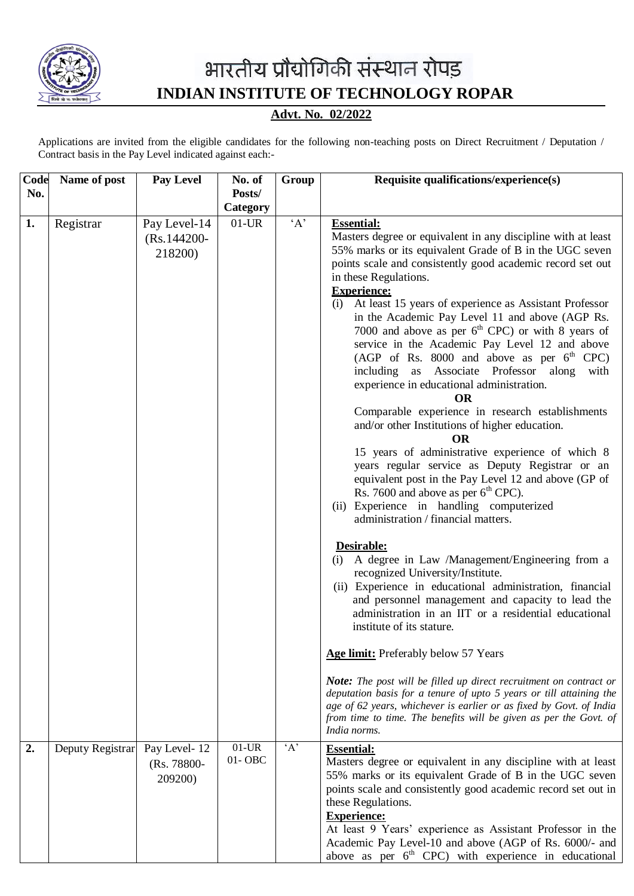

## भारतीय प्रौद्योगिकी संस्थान रोपड़  **INDIAN INSTITUTE OF TECHNOLOGY ROPAR**

**Advt. No. 02/2022**

Applications are invited from the eligible candidates for the following non-teaching posts on Direct Recruitment / Deputation / Contract basis in the Pay Level indicated against each:-

| Code | Name of post                  | Pay Level                                 | No. of                 | Group | Requisite qualifications/experience(s)                                                                                                                                                                                                                                                                                                                                                                                                                                                                                                                                                                                                                                                                                                                                                                                                                                                                                                                                                                                                                                                                                                                                                                                                                                                                                                                                                                               |
|------|-------------------------------|-------------------------------------------|------------------------|-------|----------------------------------------------------------------------------------------------------------------------------------------------------------------------------------------------------------------------------------------------------------------------------------------------------------------------------------------------------------------------------------------------------------------------------------------------------------------------------------------------------------------------------------------------------------------------------------------------------------------------------------------------------------------------------------------------------------------------------------------------------------------------------------------------------------------------------------------------------------------------------------------------------------------------------------------------------------------------------------------------------------------------------------------------------------------------------------------------------------------------------------------------------------------------------------------------------------------------------------------------------------------------------------------------------------------------------------------------------------------------------------------------------------------------|
| No.  |                               |                                           | Posts/                 |       |                                                                                                                                                                                                                                                                                                                                                                                                                                                                                                                                                                                                                                                                                                                                                                                                                                                                                                                                                                                                                                                                                                                                                                                                                                                                                                                                                                                                                      |
|      |                               |                                           | Category               |       |                                                                                                                                                                                                                                                                                                                                                                                                                                                                                                                                                                                                                                                                                                                                                                                                                                                                                                                                                                                                                                                                                                                                                                                                                                                                                                                                                                                                                      |
| 1.   | Registrar                     | Pay Level-14<br>$(Rs.144200 -$<br>218200) | $01$ -UR               | A     | <b>Essential:</b><br>Masters degree or equivalent in any discipline with at least<br>55% marks or its equivalent Grade of B in the UGC seven<br>points scale and consistently good academic record set out<br>in these Regulations.<br><b>Experience:</b><br>(i) At least 15 years of experience as Assistant Professor<br>in the Academic Pay Level 11 and above (AGP Rs.<br>7000 and above as per $6th$ CPC) or with 8 years of<br>service in the Academic Pay Level 12 and above<br>(AGP of Rs. 8000 and above as per $6th$ CPC)<br>including as Associate Professor along<br>with<br>experience in educational administration.<br><b>OR</b><br>Comparable experience in research establishments<br>and/or other Institutions of higher education.<br><b>OR</b><br>15 years of administrative experience of which 8<br>years regular service as Deputy Registrar or an<br>equivalent post in the Pay Level 12 and above (GP of<br>Rs. 7600 and above as per $6th$ CPC).<br>(ii) Experience in handling computerized<br>administration / financial matters.<br>Desirable:<br>(i) A degree in Law /Management/Engineering from a<br>recognized University/Institute.<br>(ii) Experience in educational administration, financial<br>and personnel management and capacity to lead the<br>administration in an IIT or a residential educational<br>institute of its stature.<br>Age limit: Preferably below 57 Years |
|      |                               |                                           |                        |       | <b>Note:</b> The post will be filled up direct recruitment on contract or<br>deputation basis for a tenure of upto 5 years or till attaining the<br>age of 62 years, whichever is earlier or as fixed by Govt. of India<br>from time to time. The benefits will be given as per the Govt. of<br>India norms.                                                                                                                                                                                                                                                                                                                                                                                                                                                                                                                                                                                                                                                                                                                                                                                                                                                                                                                                                                                                                                                                                                         |
| 2.   | Deputy Registrar Pay Level-12 | (Rs. 78800-<br>209200)                    | $01$ -UR<br>$01 - OBC$ | A     | <b>Essential:</b><br>Masters degree or equivalent in any discipline with at least<br>55% marks or its equivalent Grade of B in the UGC seven<br>points scale and consistently good academic record set out in<br>these Regulations.<br><b>Experience:</b><br>At least 9 Years' experience as Assistant Professor in the<br>Academic Pay Level-10 and above (AGP of Rs. 6000/- and<br>above as per $6th$ CPC) with experience in educational                                                                                                                                                                                                                                                                                                                                                                                                                                                                                                                                                                                                                                                                                                                                                                                                                                                                                                                                                                          |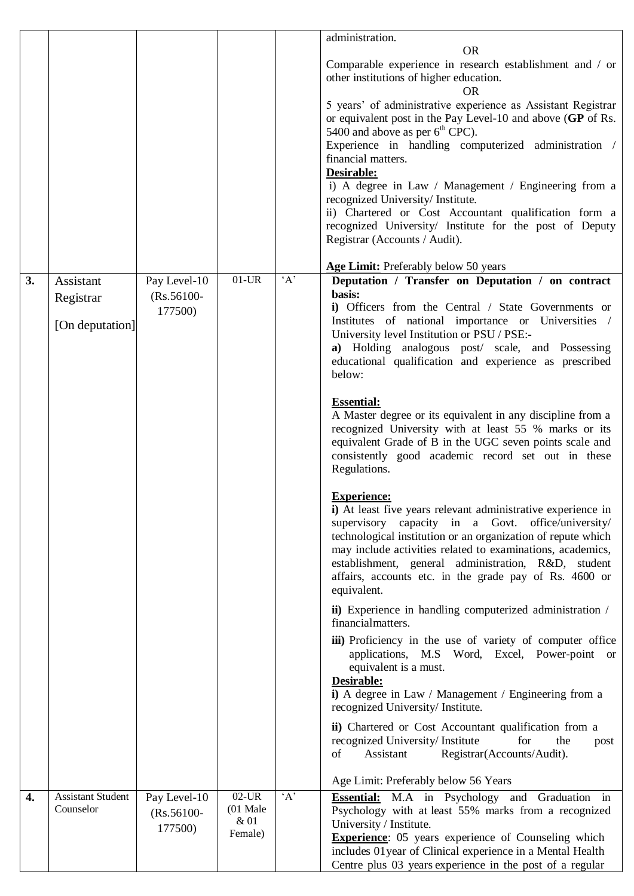|    |                                           |                                          |                                                    |          | administration.<br><b>OR</b><br>Comparable experience in research establishment and / or<br>other institutions of higher education.<br>OR<br>5 years' of administrative experience as Assistant Registrar<br>or equivalent post in the Pay Level-10 and above (GP of Rs.<br>5400 and above as per 6 <sup>th</sup> CPC).<br>Experience in handling computerized administration /<br>financial matters.<br>Desirable: |
|----|-------------------------------------------|------------------------------------------|----------------------------------------------------|----------|---------------------------------------------------------------------------------------------------------------------------------------------------------------------------------------------------------------------------------------------------------------------------------------------------------------------------------------------------------------------------------------------------------------------|
|    |                                           |                                          |                                                    |          | i) A degree in Law / Management / Engineering from a<br>recognized University/ Institute.<br>ii) Chartered or Cost Accountant qualification form a<br>recognized University/ Institute for the post of Deputy<br>Registrar (Accounts / Audit).                                                                                                                                                                      |
| 3. | Assistant<br>Registrar<br>[On deputation] | Pay Level-10<br>$(Rs.56100 -$<br>177500) | $01$ -UR                                           | $\Delta$ | Age Limit: Preferably below 50 years<br>Deputation / Transfer on Deputation / on contract<br>basis:<br>i) Officers from the Central / State Governments or<br>Institutes of national importance or Universities /<br>University level Institution or PSU / PSE:-<br>a) Holding analogous post/ scale, and Possessing<br>educational qualification and experience as prescribed<br>below:                            |
|    |                                           |                                          |                                                    |          | <b>Essential:</b><br>A Master degree or its equivalent in any discipline from a<br>recognized University with at least 55 % marks or its<br>equivalent Grade of B in the UGC seven points scale and<br>consistently good academic record set out in these<br>Regulations.                                                                                                                                           |
|    |                                           |                                          |                                                    |          | <b>Experience:</b><br>i) At least five years relevant administrative experience in<br>supervisory capacity in a Govt.<br>office/university/<br>technological institution or an organization of repute which<br>may include activities related to examinations, academics,<br>establishment, general administration, R&D, student<br>affairs, accounts etc. in the grade pay of Rs. 4600 or<br>equivalent.           |
|    |                                           |                                          |                                                    |          | ii) Experience in handling computerized administration /<br>financialmatters.<br>iii) Proficiency in the use of variety of computer office<br>applications, M.S Word, Excel, Power-point or                                                                                                                                                                                                                         |
|    |                                           |                                          |                                                    |          | equivalent is a must.<br>Desirable:<br>i) A degree in Law / Management / Engineering from a<br>recognized University/ Institute.                                                                                                                                                                                                                                                                                    |
|    |                                           |                                          |                                                    |          | ii) Chartered or Cost Accountant qualification from a<br>recognized University/Institute<br>for<br>the<br>post<br>Registrar(Accounts/Audit).<br>of<br>Assistant                                                                                                                                                                                                                                                     |
|    |                                           |                                          |                                                    |          | Age Limit: Preferably below 56 Years                                                                                                                                                                                                                                                                                                                                                                                |
| 4. | <b>Assistant Student</b><br>Counselor     | Pay Level-10<br>$(Rs.56100 -$<br>177500) | $02$ -UR<br>$(01 \text{ Male})$<br>& 01<br>Female) | $\Delta$ | <b>Essential:</b> M.A in Psychology and Graduation in<br>Psychology with at least 55% marks from a recognized<br>University / Institute.<br><b>Experience:</b> 05 years experience of Counseling which<br>includes 01 year of Clinical experience in a Mental Health<br>Centre plus 03 years experience in the post of a regular                                                                                    |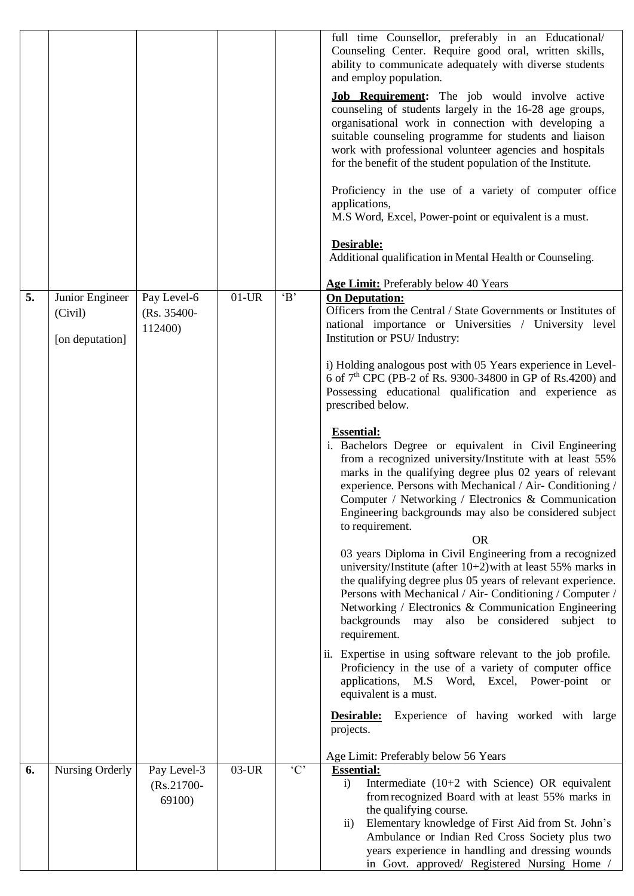|    |                                               |                                        |          |         | full time Counsellor, preferably in an Educational/<br>Counseling Center. Require good oral, written skills,<br>ability to communicate adequately with diverse students<br>and employ population.<br><b>Job Requirement:</b> The job would involve active<br>counseling of students largely in the 16-28 age groups,<br>organisational work in connection with developing a<br>suitable counseling programme for students and liaison<br>work with professional volunteer agencies and hospitals<br>for the benefit of the student population of the Institute.<br>Proficiency in the use of a variety of computer office<br>applications,<br>M.S Word, Excel, Power-point or equivalent is a must.<br>Desirable:<br>Additional qualification in Mental Health or Counseling.<br>Age Limit: Preferably below 40 Years                                                                                                                                                                                                                                                                                                                                                                                     |
|----|-----------------------------------------------|----------------------------------------|----------|---------|-----------------------------------------------------------------------------------------------------------------------------------------------------------------------------------------------------------------------------------------------------------------------------------------------------------------------------------------------------------------------------------------------------------------------------------------------------------------------------------------------------------------------------------------------------------------------------------------------------------------------------------------------------------------------------------------------------------------------------------------------------------------------------------------------------------------------------------------------------------------------------------------------------------------------------------------------------------------------------------------------------------------------------------------------------------------------------------------------------------------------------------------------------------------------------------------------------------|
|    |                                               |                                        |          |         |                                                                                                                                                                                                                                                                                                                                                                                                                                                                                                                                                                                                                                                                                                                                                                                                                                                                                                                                                                                                                                                                                                                                                                                                           |
| 5. | Junior Engineer<br>(Civil)<br>[on deputation] | Pay Level-6<br>(Rs. 35400-<br>112400)  | $01$ -UR | B       | <b>On Deputation:</b><br>Officers from the Central / State Governments or Institutes of<br>national importance or Universities / University level<br>Institution or PSU/ Industry:<br>i) Holding analogous post with 05 Years experience in Level-<br>6 of 7 <sup>th</sup> CPC (PB-2 of Rs. 9300-34800 in GP of Rs.4200) and                                                                                                                                                                                                                                                                                                                                                                                                                                                                                                                                                                                                                                                                                                                                                                                                                                                                              |
|    |                                               |                                        |          |         | Possessing educational qualification and experience as<br>prescribed below.<br><b>Essential:</b><br>i. Bachelors Degree or equivalent in Civil Engineering<br>from a recognized university/Institute with at least 55%<br>marks in the qualifying degree plus 02 years of relevant<br>experience. Persons with Mechanical / Air- Conditioning /<br>Computer / Networking / Electronics & Communication<br>Engineering backgrounds may also be considered subject<br>to requirement.<br><b>OR</b><br>03 years Diploma in Civil Engineering from a recognized<br>university/Institute (after $10+2$ ) with at least 55% marks in<br>the qualifying degree plus 05 years of relevant experience.<br>Persons with Mechanical / Air- Conditioning / Computer /<br>Networking / Electronics & Communication Engineering<br>also be considered subject to<br>backgrounds<br>may<br>requirement.<br>ii. Expertise in using software relevant to the job profile.<br>Proficiency in the use of a variety of computer office<br>applications, M.S Word, Excel, Power-point or<br>equivalent is a must.<br>Experience of having worked with large<br>Desirable:<br>projects.<br>Age Limit: Preferably below 56 Years |
| 6. | Nursing Orderly                               | Pay Level-3<br>$(Rs.21700 -$<br>69100) | $03$ -UR | $\lq C$ | <b>Essential:</b><br>Intermediate (10+2 with Science) OR equivalent<br>$\ddot{1}$<br>from recognized Board with at least 55% marks in<br>the qualifying course.<br>Elementary knowledge of First Aid from St. John's<br>$\overline{11}$ )<br>Ambulance or Indian Red Cross Society plus two<br>years experience in handling and dressing wounds<br>in Govt. approved/ Registered Nursing Home /                                                                                                                                                                                                                                                                                                                                                                                                                                                                                                                                                                                                                                                                                                                                                                                                           |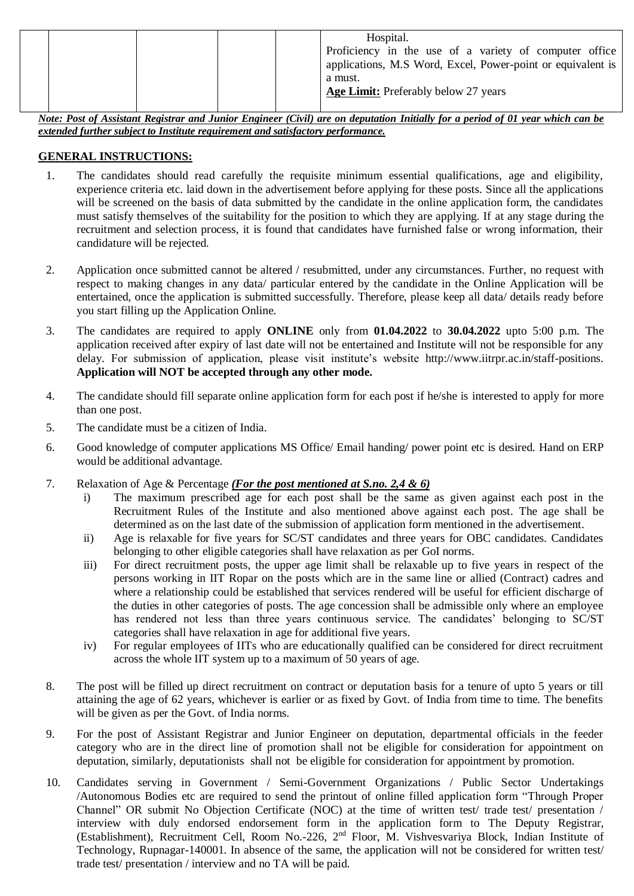|  |  |  |  |  | Hospital.<br>Proficiency in the use of a variety of computer office<br>applications, M.S Word, Excel, Power-point or equivalent is<br>a must.<br>Age Limit: Preferably below 27 years |
|--|--|--|--|--|---------------------------------------------------------------------------------------------------------------------------------------------------------------------------------------|
|--|--|--|--|--|---------------------------------------------------------------------------------------------------------------------------------------------------------------------------------------|

*Note: Post of Assistant Registrar and Junior Engineer (Civil) are on deputation Initially for a period of 01 year which can be extended further subject to Institute requirement and satisfactory performance.*

#### **GENERAL INSTRUCTIONS:**

- 1. The candidates should read carefully the requisite minimum essential qualifications, age and eligibility, experience criteria etc. laid down in the advertisement before applying for these posts. Since all the applications will be screened on the basis of data submitted by the candidate in the online application form, the candidates must satisfy themselves of the suitability for the position to which they are applying. If at any stage during the recruitment and selection process, it is found that candidates have furnished false or wrong information, their candidature will be rejected.
- 2. Application once submitted cannot be altered / resubmitted, under any circumstances. Further, no request with respect to making changes in any data/ particular entered by the candidate in the Online Application will be entertained, once the application is submitted successfully. Therefore, please keep all data/ details ready before you start filling up the Application Online.
- 3. The candidates are required to apply **ONLINE** only from **01.04.2022** to **30.04.2022** upto 5:00 p.m. The application received after expiry of last date will not be entertained and Institute will not be responsible for any delay. For submission of application, please visit institute's website http://www.iitrpr.ac.in/staff-positions. **Application will NOT be accepted through any other mode.**
- 4. The candidate should fill separate online application form for each post if he/she is interested to apply for more than one post.
- 5. The candidate must be a citizen of India.
- 6. Good knowledge of computer applications MS Office/ Email handing/ power point etc is desired. Hand on ERP would be additional advantage.
- 7. Relaxation of Age & Percentage *(For the post mentioned at S.no. 2,4 & 6)*
	- i) The maximum prescribed age for each post shall be the same as given against each post in the Recruitment Rules of the Institute and also mentioned above against each post. The age shall be determined as on the last date of the submission of application form mentioned in the advertisement.
	- ii) Age is relaxable for five years for SC/ST candidates and three years for OBC candidates. Candidates belonging to other eligible categories shall have relaxation as per GoI norms.
	- iii) For direct recruitment posts, the upper age limit shall be relaxable up to five years in respect of the persons working in IIT Ropar on the posts which are in the same line or allied (Contract) cadres and where a relationship could be established that services rendered will be useful for efficient discharge of the duties in other categories of posts. The age concession shall be admissible only where an employee has rendered not less than three years continuous service. The candidates' belonging to SC/ST categories shall have relaxation in age for additional five years.
	- iv) For regular employees of IITs who are educationally qualified can be considered for direct recruitment across the whole IIT system up to a maximum of 50 years of age.
- 8. The post will be filled up direct recruitment on contract or deputation basis for a tenure of upto 5 years or till attaining the age of 62 years, whichever is earlier or as fixed by Govt. of India from time to time. The benefits will be given as per the Govt. of India norms.
- 9. For the post of Assistant Registrar and Junior Engineer on deputation, departmental officials in the feeder category who are in the direct line of promotion shall not be eligible for consideration for appointment on deputation, similarly, deputationists shall not be eligible for consideration for appointment by promotion.
- 10. Candidates serving in Government / Semi-Government Organizations / Public Sector Undertakings /Autonomous Bodies etc are required to send the printout of online filled application form "Through Proper Channel" OR submit No Objection Certificate (NOC) at the time of written test/ trade test/ presentation / interview with duly endorsed endorsement form in the application form to The Deputy Registrar, (Establishment), Recruitment Cell, Room No.-226, 2<sup>nd</sup> Floor, M. Vishvesvariya Block, Indian Institute of Technology, Rupnagar-140001. In absence of the same, the application will not be considered for written test/ trade test/ presentation / interview and no TA will be paid.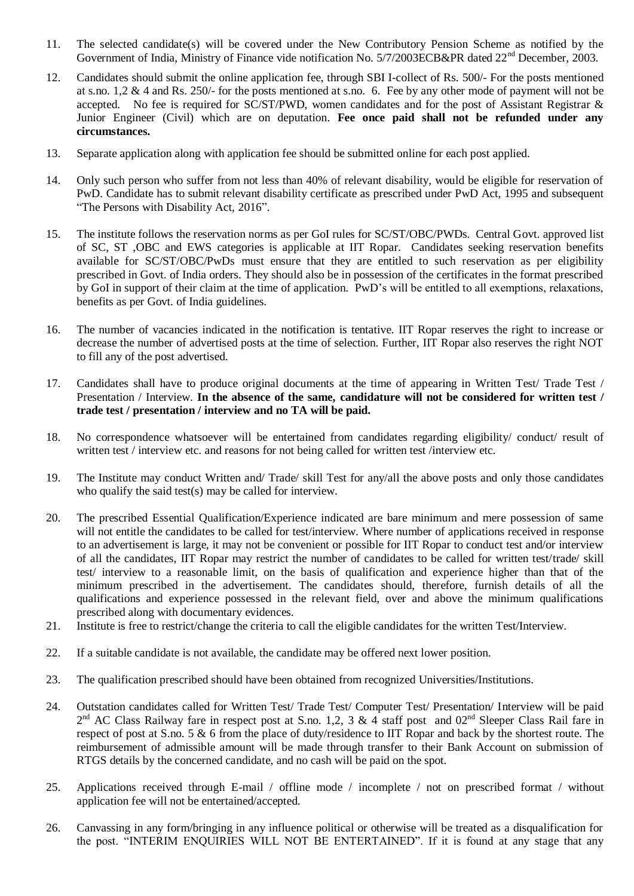- 11. The selected candidate(s) will be covered under the New Contributory Pension Scheme as notified by the Government of India, Ministry of Finance vide notification No. 5/7/2003ECB&PR dated 22<sup>nd</sup> December, 2003.
- 12. Candidates should submit the online application fee, through SBI I-collect of Rs. 500/- For the posts mentioned at s.no. 1,2 & 4 and Rs. 250/- for the posts mentioned at s.no. 6. Fee by any other mode of payment will not be accepted. No fee is required for SC/ST/PWD, women candidates and for the post of Assistant Registrar & Junior Engineer (Civil) which are on deputation. **Fee once paid shall not be refunded under any circumstances.**
- 13. Separate application along with application fee should be submitted online for each post applied.
- 14. Only such person who suffer from not less than 40% of relevant disability, would be eligible for reservation of PwD. Candidate has to submit relevant disability certificate as prescribed under PwD Act, 1995 and subsequent "The Persons with Disability Act, 2016".
- 15. The institute follows the reservation norms as per GoI rules for SC/ST/OBC/PWDs. Central Govt. approved list of SC, ST ,OBC and EWS categories is applicable at IIT Ropar. Candidates seeking reservation benefits available for SC/ST/OBC/PwDs must ensure that they are entitled to such reservation as per eligibility prescribed in Govt. of India orders. They should also be in possession of the certificates in the format prescribed by GoI in support of their claim at the time of application. PwD's will be entitled to all exemptions, relaxations, benefits as per Govt. of India guidelines.
- 16. The number of vacancies indicated in the notification is tentative. IIT Ropar reserves the right to increase or decrease the number of advertised posts at the time of selection. Further, IIT Ropar also reserves the right NOT to fill any of the post advertised.
- 17. Candidates shall have to produce original documents at the time of appearing in Written Test/ Trade Test / Presentation / Interview. **In the absence of the same, candidature will not be considered for written test / trade test / presentation / interview and no TA will be paid.**
- 18. No correspondence whatsoever will be entertained from candidates regarding eligibility/ conduct/ result of written test / interview etc. and reasons for not being called for written test /interview etc.
- 19. The Institute may conduct Written and/ Trade/ skill Test for any/all the above posts and only those candidates who qualify the said test(s) may be called for interview.
- 20. The prescribed Essential Qualification/Experience indicated are bare minimum and mere possession of same will not entitle the candidates to be called for test/interview. Where number of applications received in response to an advertisement is large, it may not be convenient or possible for IIT Ropar to conduct test and/or interview of all the candidates, IIT Ropar may restrict the number of candidates to be called for written test/trade/ skill test/ interview to a reasonable limit, on the basis of qualification and experience higher than that of the minimum prescribed in the advertisement. The candidates should, therefore, furnish details of all the qualifications and experience possessed in the relevant field, over and above the minimum qualifications prescribed along with documentary evidences.
- 21. Institute is free to restrict/change the criteria to call the eligible candidates for the written Test/Interview.
- 22. If a suitable candidate is not available, the candidate may be offered next lower position.
- 23. The qualification prescribed should have been obtained from recognized Universities/Institutions.
- 24. Outstation candidates called for Written Test/ Trade Test/ Computer Test/ Presentation/ Interview will be paid  $2^{nd}$  AC Class Railway fare in respect post at S.no. 1,2, 3 & 4 staff post and  $02^{nd}$  Sleeper Class Rail fare in respect of post at S.no. 5 & 6 from the place of duty/residence to IIT Ropar and back by the shortest route. The reimbursement of admissible amount will be made through transfer to their Bank Account on submission of RTGS details by the concerned candidate, and no cash will be paid on the spot.
- 25. Applications received through E-mail / offline mode / incomplete / not on prescribed format / without application fee will not be entertained/accepted.
- 26. Canvassing in any form/bringing in any influence political or otherwise will be treated as a disqualification for the post. "INTERIM ENQUIRIES WILL NOT BE ENTERTAINED". If it is found at any stage that any